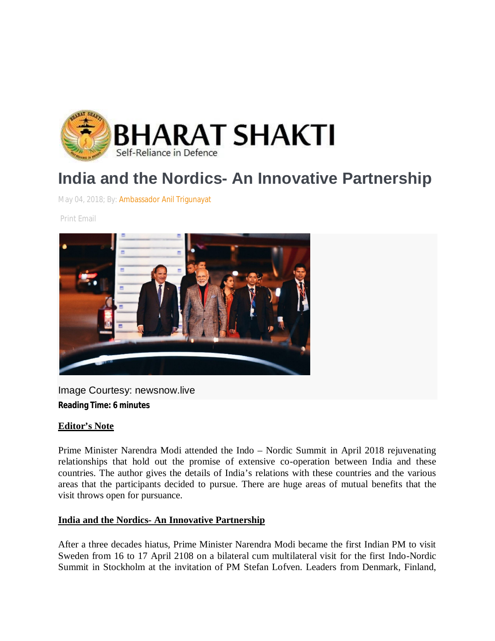

# **India and the Nordics- An Innovative Partnership**

May 04, 2018; By: Ambassador Anil Trigunayat

Print Email



Image Courtesy: newsnow.live **Reading Time: 6 minutes**

#### **Editor's Note**

Prime Minister Narendra Modi attended the Indo – Nordic Summit in April 2018 rejuvenating relationships that hold out the promise of extensive co-operation between India and these countries. The author gives the details of India's relations with these countries and the various areas that the participants decided to pursue. There are huge areas of mutual benefits that the visit throws open for pursuance.

#### **India and the Nordics- An Innovative Partnership**

After a three decades hiatus, Prime Minister Narendra Modi became the first Indian PM to visit Sweden from 16 to 17 April 2108 on a bilateral cum multilateral visit for the first Indo-Nordic Summit in Stockholm at the invitation of PM Stefan Lofven. Leaders from Denmark, Finland,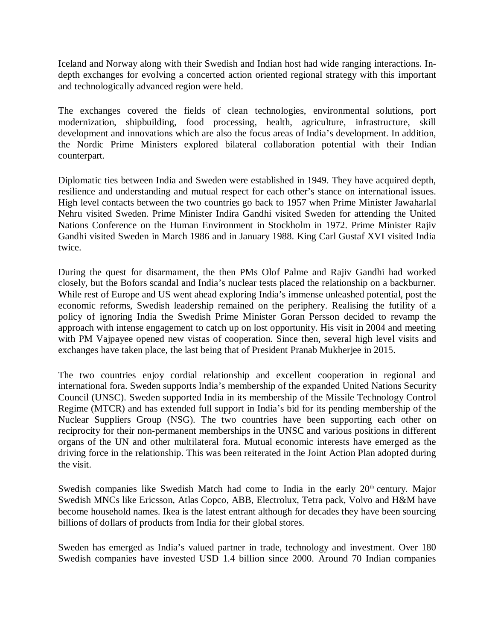Iceland and Norway along with their Swedish and Indian host had wide ranging interactions. Indepth exchanges for evolving a concerted action oriented regional strategy with this important and technologically advanced region were held.

The exchanges covered the fields of clean technologies, environmental solutions, port modernization, shipbuilding, food processing, health, agriculture, infrastructure, skill development and innovations which are also the focus areas of India's development. In addition, the Nordic Prime Ministers explored bilateral collaboration potential with their Indian counterpart.

Diplomatic ties between India and Sweden were established in 1949. They have acquired depth, resilience and understanding and mutual respect for each other's stance on international issues. High level contacts between the two countries go back to 1957 when Prime Minister Jawaharlal Nehru visited Sweden. Prime Minister Indira Gandhi visited Sweden for attending the United Nations Conference on the Human Environment in Stockholm in 1972. Prime Minister Rajiv Gandhi visited Sweden in March 1986 and in January 1988. King Carl Gustaf XVI visited India twice.

During the quest for disarmament, the then PMs Olof Palme and Rajiv Gandhi had worked closely, but the Bofors scandal and India's nuclear tests placed the relationship on a backburner. While rest of Europe and US went ahead exploring India's immense unleashed potential, post the economic reforms, Swedish leadership remained on the periphery. Realising the futility of a policy of ignoring India the Swedish Prime Minister Goran Persson decided to revamp the approach with intense engagement to catch up on lost opportunity. His visit in 2004 and meeting with PM Vajpayee opened new vistas of cooperation. Since then, several high level visits and exchanges have taken place, the last being that of President Pranab Mukherjee in 2015.

The two countries enjoy cordial relationship and excellent cooperation in regional and international fora. Sweden supports India's membership of the expanded United Nations Security Council (UNSC). Sweden supported India in its membership of the Missile Technology Control Regime (MTCR) and has extended full support in India's bid for its pending membership of the Nuclear Suppliers Group (NSG). The two countries have been supporting each other on reciprocity for their non-permanent memberships in the UNSC and various positions in different organs of the UN and other multilateral fora. Mutual economic interests have emerged as the driving force in the relationship. This was been reiterated in the Joint Action Plan adopted during the visit.

Swedish companies like Swedish Match had come to India in the early 20<sup>th</sup> century. Major Swedish MNCs like Ericsson, Atlas Copco, ABB, Electrolux, Tetra pack, Volvo and H&M have become household names. Ikea is the latest entrant although for decades they have been sourcing billions of dollars of products from India for their global stores.

Sweden has emerged as India's valued partner in trade, technology and investment. Over 180 Swedish companies have invested USD 1.4 billion since 2000. Around 70 Indian companies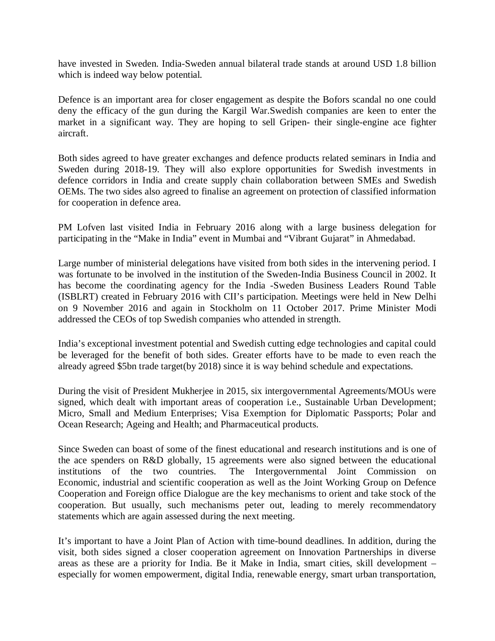have invested in Sweden. India-Sweden annual bilateral trade stands at around USD 1.8 billion which is indeed way below potential.

Defence is an important area for closer engagement as despite the Bofors scandal no one could deny the efficacy of the gun during the Kargil War.Swedish companies are keen to enter the market in a significant way. They are hoping to sell Gripen- their single-engine ace fighter aircraft.

Both sides agreed to have greater exchanges and defence products related seminars in India and Sweden during 2018-19. They will also explore opportunities for Swedish investments in defence corridors in India and create supply chain collaboration between SMEs and Swedish OEMs. The two sides also agreed to finalise an agreement on protection of classified information for cooperation in defence area.

PM Lofven last visited India in February 2016 along with a large business delegation for participating in the "Make in India" event in Mumbai and "Vibrant Gujarat" in Ahmedabad.

Large number of ministerial delegations have visited from both sides in the intervening period. I was fortunate to be involved in the institution of the Sweden-India Business Council in 2002. It has become the coordinating agency for the India -Sweden Business Leaders Round Table (ISBLRT) created in February 2016 with CII's participation. Meetings were held in New Delhi on 9 November 2016 and again in Stockholm on 11 October 2017. Prime Minister Modi addressed the CEOs of top Swedish companies who attended in strength.

India's exceptional investment potential and Swedish cutting edge technologies and capital could be leveraged for the benefit of both sides. Greater efforts have to be made to even reach the already agreed \$5bn trade target(by 2018) since it is way behind schedule and expectations.

During the visit of President Mukherjee in 2015, six intergovernmental Agreements/MOUs were signed, which dealt with important areas of cooperation i.e., Sustainable Urban Development; Micro, Small and Medium Enterprises; Visa Exemption for Diplomatic Passports; Polar and Ocean Research; Ageing and Health; and Pharmaceutical products.

Since Sweden can boast of some of the finest educational and research institutions and is one of the ace spenders on R&D globally, 15 agreements were also signed between the educational institutions of the two countries. The Intergovernmental Joint Commission on Economic, industrial and scientific cooperation as well as the Joint Working Group on Defence Cooperation and Foreign office Dialogue are the key mechanisms to orient and take stock of the cooperation. But usually, such mechanisms peter out, leading to merely recommendatory statements which are again assessed during the next meeting.

It's important to have a Joint Plan of Action with time-bound deadlines. In addition, during the visit, both sides signed a closer cooperation agreement on Innovation Partnerships in diverse areas as these are a priority for India. Be it Make in India, smart cities, skill development – especially for women empowerment, digital India, renewable energy, smart urban transportation,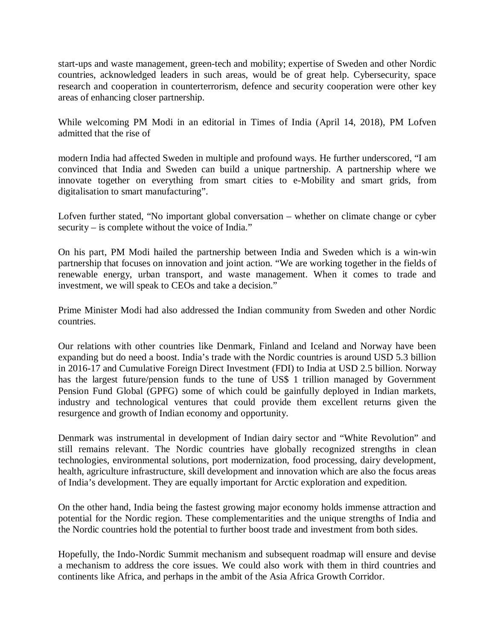start-ups and waste management, green-tech and mobility; expertise of Sweden and other Nordic countries, acknowledged leaders in such areas, would be of great help. Cybersecurity, space research and cooperation in counterterrorism, defence and security cooperation were other key areas of enhancing closer partnership.

While welcoming PM Modi in an editorial in Times of India (April 14, 2018), PM Lofven admitted that the rise of

modern India had affected Sweden in multiple and profound ways. He further underscored, "I am convinced that India and Sweden can build a unique partnership. A partnership where we innovate together on everything from smart cities to e-Mobility and smart grids, from digitalisation to smart manufacturing".

Lofven further stated, "No important global conversation – whether on climate change or cyber security – is complete without the voice of India."

On his part, PM Modi hailed the partnership between India and Sweden which is a win-win partnership that focuses on innovation and joint action. "We are working together in the fields of renewable energy, urban transport, and waste management. When it comes to trade and investment, we will speak to CEOs and take a decision."

Prime Minister Modi had also addressed the Indian community from Sweden and other Nordic countries.

Our relations with other countries like Denmark, Finland and Iceland and Norway have been expanding but do need a boost. India's trade with the Nordic countries is around USD 5.3 billion in 2016-17 and Cumulative Foreign Direct Investment (FDI) to India at USD 2.5 billion. Norway has the largest future/pension funds to the tune of US\$ 1 trillion managed by Government Pension Fund Global (GPFG) some of which could be gainfully deployed in Indian markets, industry and technological ventures that could provide them excellent returns given the resurgence and growth of Indian economy and opportunity.

Denmark was instrumental in development of Indian dairy sector and "White Revolution" and still remains relevant. The Nordic countries have globally recognized strengths in clean technologies, environmental solutions, port modernization, food processing, dairy development, health, agriculture infrastructure, skill development and innovation which are also the focus areas of India's development. They are equally important for Arctic exploration and expedition.

On the other hand, India being the fastest growing major economy holds immense attraction and potential for the Nordic region. These complementarities and the unique strengths of India and the Nordic countries hold the potential to further boost trade and investment from both sides.

Hopefully, the Indo-Nordic Summit mechanism and subsequent roadmap will ensure and devise a mechanism to address the core issues. We could also work with them in third countries and continents like Africa, and perhaps in the ambit of the Asia Africa Growth Corridor.